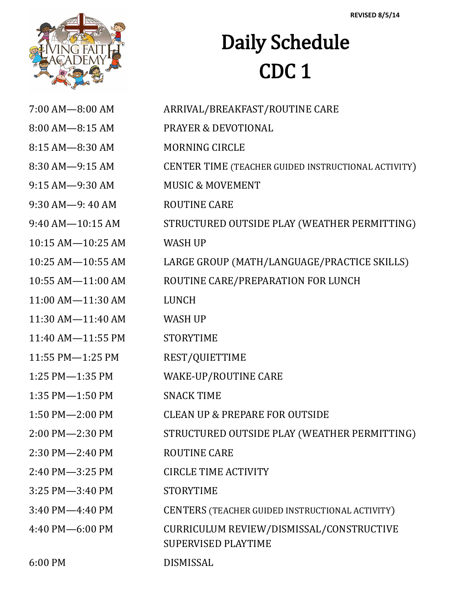

## Daily Schedule CDC 1

| $7:00$ AM $-8:00$ AM  | ARRIVAL/BREAKFAST/ROUTINE CARE                                         |
|-----------------------|------------------------------------------------------------------------|
| 8:00 AM-8:15 AM       | <b>PRAYER &amp; DEVOTIONAL</b>                                         |
| 8:15 AM-8:30 AM       | <b>MORNING CIRCLE</b>                                                  |
| 8:30 AM-9:15 AM       | CENTER TIME (TEACHER GUIDED INSTRUCTIONAL ACTIVITY)                    |
| 9:15 AM-9:30 AM       | <b>MUSIC &amp; MOVEMENT</b>                                            |
| 9:30 AM-9:40 AM       | <b>ROUTINE CARE</b>                                                    |
| $9:40$ AM $-10:15$ AM | STRUCTURED OUTSIDE PLAY (WEATHER PERMITTING)                           |
| 10:15 AM-10:25 AM     | <b>WASH UP</b>                                                         |
| 10:25 AM-10:55 AM     | LARGE GROUP (MATH/LANGUAGE/PRACTICE SKILLS)                            |
| 10:55 AM-11:00 AM     | ROUTINE CARE/PREPARATION FOR LUNCH                                     |
| 11:00 AM-11:30 AM     | <b>LUNCH</b>                                                           |
| 11:30 AM-11:40 AM     | <b>WASH UP</b>                                                         |
| 11:40 AM-11:55 PM     | <b>STORYTIME</b>                                                       |
| 11:55 PM-1:25 PM      | REST/QUIETTIME                                                         |
| 1:25 PM-1:35 PM       | WAKE-UP/ROUTINE CARE                                                   |
| 1:35 PM-1:50 PM       | <b>SNACK TIME</b>                                                      |
| 1:50 PM-2:00 PM       | <b>CLEAN UP &amp; PREPARE FOR OUTSIDE</b>                              |
| 2:00 PM-2:30 PM       | STRUCTURED OUTSIDE PLAY (WEATHER PERMITTING)                           |
| 2:30 PM-2:40 PM       | <b>ROUTINE CARE</b>                                                    |
| 2:40 PM-3:25 PM       | <b>CIRCLE TIME ACTIVITY</b>                                            |
| 3:25 PM-3:40 PM       | <b>STORYTIME</b>                                                       |
| 3:40 PM-4:40 PM       | CENTERS (TEACHER GUIDED INSTRUCTIONAL ACTIVITY)                        |
| 4:40 PM-6:00 PM       | CURRICULUM REVIEW/DISMISSAL/CONSTRUCTIVE<br><b>SUPERVISED PLAYTIME</b> |
| 6:00 PM               | DISMISSAL                                                              |